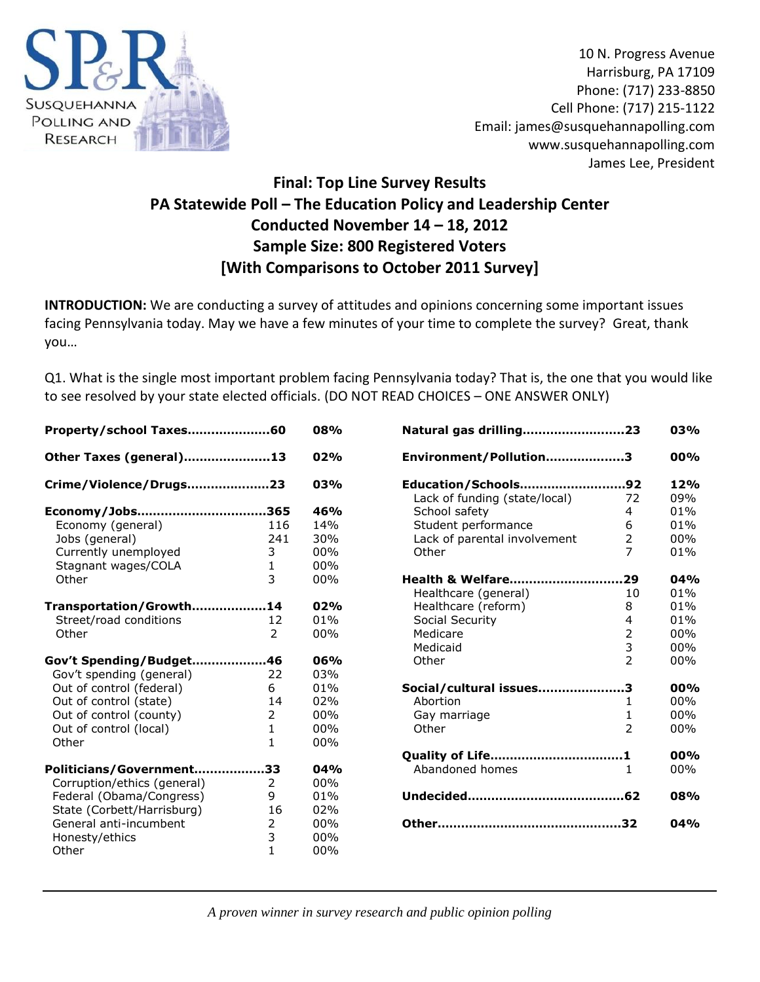

10 N. Progress Avenue Harrisburg, PA 17109 Phone: (717) 233-8850 Cell Phone: (717) 215-1122 Email: james@susquehannapolling.com www.susquehannapolling.com James Lee, President

# **Final: Top Line Survey Results PA Statewide Poll – The Education Policy and Leadership Center Conducted November 14 – 18, 2012 Sample Size: 800 Registered Voters [With Comparisons to October 2011 Survey]**

**INTRODUCTION:** We are conducting a survey of attitudes and opinions concerning some important issues facing Pennsylvania today. May we have a few minutes of your time to complete the survey? Great, thank you…

Q1. What is the single most important problem facing Pennsylvania today? That is, the one that you would like to see resolved by your state elected officials. (DO NOT READ CHOICES – ONE ANSWER ONLY)

| Property/school Taxes60     |              | 08% |
|-----------------------------|--------------|-----|
| Other Taxes (general)13     |              | 02% |
| Crime/Violence/Drugs23      |              | 03% |
| Economy/Jobs365             |              | 46% |
| Economy (general)           | 116          | 14% |
| Jobs (general)              | 241          | 30% |
| Currently unemployed        | 3            | 00% |
| Stagnant wages/COLA         | $\mathbf{1}$ | 00% |
| Other                       | 3            | 00% |
| Transportation/Growth14     |              | 02% |
| Street/road conditions      | 12           | 01% |
| Other                       | 2            | 00% |
| Gov't Spending/Budget46     |              | 06% |
| Gov't spending (general)    | 22           | 03% |
| Out of control (federal)    | 6            | 01% |
| Out of control (state)      | 14           | 02% |
| Out of control (county)     | 2            | 00% |
| Out of control (local)      | 1            | 00% |
| Other                       | 1            | 00% |
| Politicians/Government33    |              | 04% |
| Corruption/ethics (general) | 2            | 00% |
| Federal (Obama/Congress)    | 9            | 01% |
| State (Corbett/Harrisburg)  | 16           | 02% |
| General anti-incumbent      | 2            | 00% |
| Honesty/ethics              | 3            | 00% |
| Other                       | $\mathbf{1}$ | 00% |

| Natural gas drilling23              |                          | 03%        |
|-------------------------------------|--------------------------|------------|
| Environment/Pollution3              |                          | 00%        |
| Education/Schools92                 |                          | 12%        |
| Lack of funding (state/local)       | 72                       | 09%        |
| School safety                       | 4                        | 01%        |
| Student performance                 | 6                        | 01%        |
| Lack of parental involvement        | $\overline{2}$           | 00%        |
| Other                               | 7                        | 01%        |
| Health & Welfare29                  |                          | 04%        |
| Healthcare (general)                | 10                       | 01%        |
| Healthcare (reform)                 | 8                        | 01%        |
| Social Security                     | 4                        | 01%        |
| Medicare                            | $\overline{2}$           | 00%        |
| Medicaid                            | 3                        | 00%        |
| Other                               | $\overline{2}$           | 00%        |
| Social/cultural issues3             |                          | 00%        |
| Abortion                            | 1                        | 00%        |
| Gay marriage                        | $\mathbf{1}$             | 00%        |
| Other                               | $\overline{\phantom{a}}$ | 00%        |
| Quality of Life1<br>Abandoned homes | 1                        | 00%<br>00% |
|                                     |                          |            |
|                                     |                          | 08%<br>04% |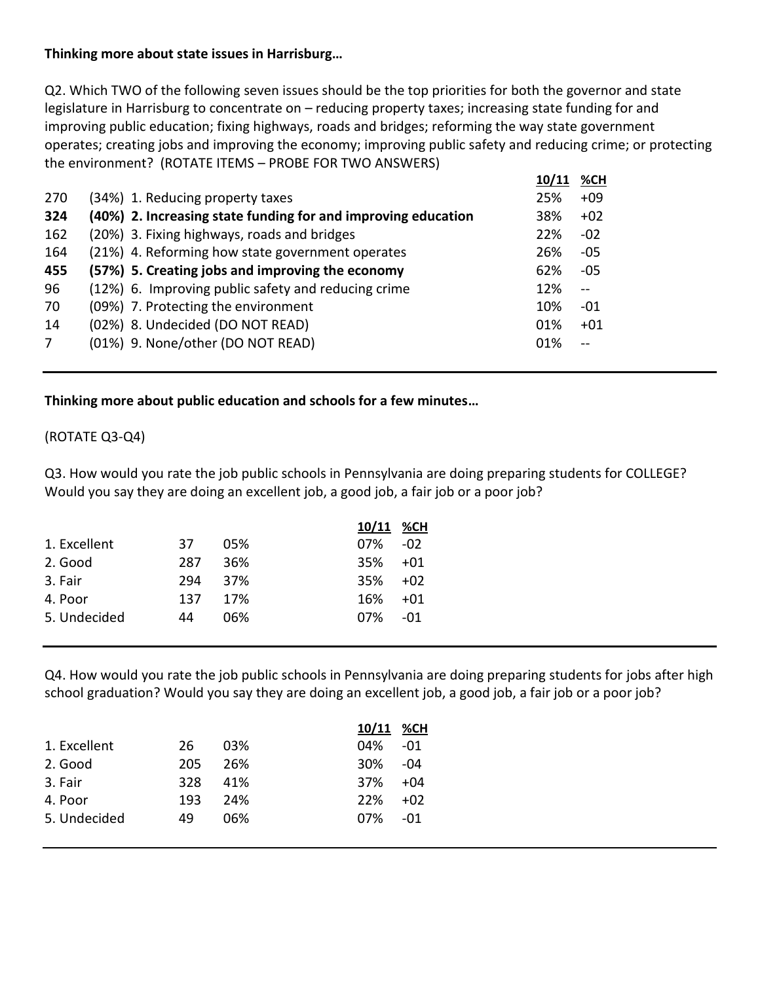## **Thinking more about state issues in Harrisburg…**

Q2. Which TWO of the following seven issues should be the top priorities for both the governor and state legislature in Harrisburg to concentrate on – reducing property taxes; increasing state funding for and improving public education; fixing highways, roads and bridges; reforming the way state government operates; creating jobs and improving the economy; improving public safety and reducing crime; or protecting the environment? (ROTATE ITEMS – PROBE FOR TWO ANSWERS)

|                |                                                               | 10/11 | %CH   |
|----------------|---------------------------------------------------------------|-------|-------|
| 270            | (34%) 1. Reducing property taxes                              | 25%   | $+09$ |
| 324            | (40%) 2. Increasing state funding for and improving education | 38%   | $+02$ |
| 162            | (20%) 3. Fixing highways, roads and bridges                   | 22%   | $-02$ |
| 164            | (21%) 4. Reforming how state government operates              | 26%   | -05   |
| 455            | (57%) 5. Creating jobs and improving the economy              | 62%   | -05   |
| 96             | (12%) 6. Improving public safety and reducing crime           | 12%   |       |
| 70             | (09%) 7. Protecting the environment                           | 10%   | $-01$ |
| 14             | (02%) 8. Undecided (DO NOT READ)                              | 01%   | $+01$ |
| $\overline{7}$ | (01%) 9. None/other (DO NOT READ)                             | 01%   |       |
|                |                                                               |       |       |

### **Thinking more about public education and schools for a few minutes…**

## (ROTATE Q3-Q4)

Q3. How would you rate the job public schools in Pennsylvania are doing preparing students for COLLEGE? Would you say they are doing an excellent job, a good job, a fair job or a poor job?

|              |     |     | 10/11 | %CH   |
|--------------|-----|-----|-------|-------|
| 1. Excellent | 37  | 05% | 07%   | $-02$ |
| 2. Good      | 287 | 36% | 35%   | $+01$ |
| 3. Fair      | 294 | 37% | 35%   | $+02$ |
| 4. Poor      | 137 | 17% | 16%   | $+01$ |
| 5. Undecided | 44  | በ6% | 07%   | -01   |

Q4. How would you rate the job public schools in Pennsylvania are doing preparing students for jobs after high school graduation? Would you say they are doing an excellent job, a good job, a fair job or a poor job?

|              |     |     | 10/11 %CH |       |
|--------------|-----|-----|-----------|-------|
| 1. Excellent | 26  | 03% | 04%       | -01   |
| 2. Good      | 205 | 26% | 30%       | -04   |
| 3. Fair      | 328 | 41% | 37%       | $+04$ |
| 4. Poor      | 193 | 24% | 22%       | $+02$ |
| 5. Undecided | 49  | በ6% | $07\%$    | -01   |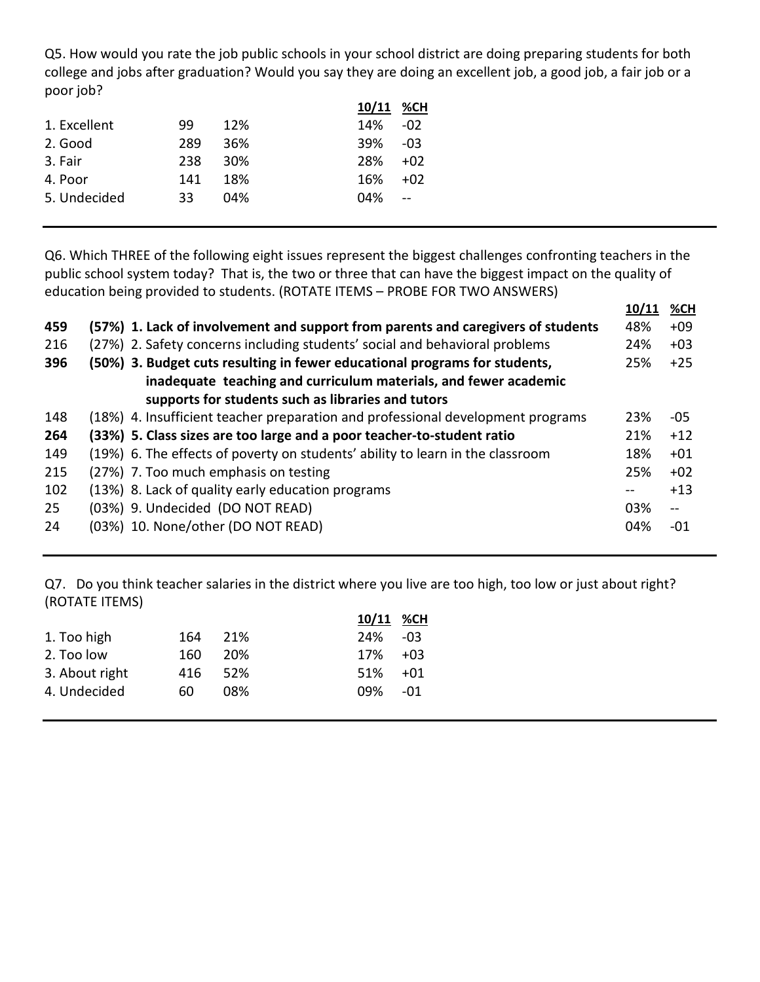Q5. How would you rate the job public schools in your school district are doing preparing students for both college and jobs after graduation? Would you say they are doing an excellent job, a good job, a fair job or a poor job?

|     |     | 10/11 %CH |        |
|-----|-----|-----------|--------|
| 99  | 12% | 14%       | $-02$  |
| 289 | 36% | 39%       | $-0.3$ |
| 238 | 30% | 28%       | $+02$  |
| 141 | 18% | 16%       | $+02$  |
| 33  | 04% | 04%       | $\sim$ |
|     |     |           |        |

Q6. Which THREE of the following eight issues represent the biggest challenges confronting teachers in the public school system today? That is, the two or three that can have the biggest impact on the quality of education being provided to students. (ROTATE ITEMS – PROBE FOR TWO ANSWERS)

|     |                                                                                  | 10/11 | %CH                                           |
|-----|----------------------------------------------------------------------------------|-------|-----------------------------------------------|
| 459 | (57%) 1. Lack of involvement and support from parents and caregivers of students | 48%   | $+09$                                         |
| 216 | (27%) 2. Safety concerns including students' social and behavioral problems      | 24%   | $+03$                                         |
| 396 | (50%) 3. Budget cuts resulting in fewer educational programs for students,       | 25%   | $+25$                                         |
|     | inadequate teaching and curriculum materials, and fewer academic                 |       |                                               |
|     | supports for students such as libraries and tutors                               |       |                                               |
| 148 | (18%) 4. Insufficient teacher preparation and professional development programs  | 23%   | -05                                           |
| 264 | (33%) 5. Class sizes are too large and a poor teacher-to-student ratio           | 21%   | $+12$                                         |
| 149 | (19%) 6. The effects of poverty on students' ability to learn in the classroom   | 18%   | $+01$                                         |
| 215 | (27%) 7. Too much emphasis on testing                                            | 25%   | $+02$                                         |
| 102 | (13%) 8. Lack of quality early education programs                                |       | $+13$                                         |
| 25  | (03%) 9. Undecided (DO NOT READ)                                                 | 03%   | $\mathord{\hspace{1pt}\text{--}\hspace{1pt}}$ |
| 24  | (03%) 10. None/other (DO NOT READ)                                               | 04%   | -01                                           |
|     |                                                                                  |       |                                               |

Q7. Do you think teacher salaries in the district where you live are too high, too low or just about right? (ROTATE ITEMS)

|     |     | 10/11 %CH   |        |
|-----|-----|-------------|--------|
| 164 |     | 24% - 03    |        |
| 160 | 20% | 17%         | $+0.3$ |
| 416 |     | 51%         | $+01$  |
| 60  | 08% | 09%         | -01    |
|     |     | 21%<br>.52% |        |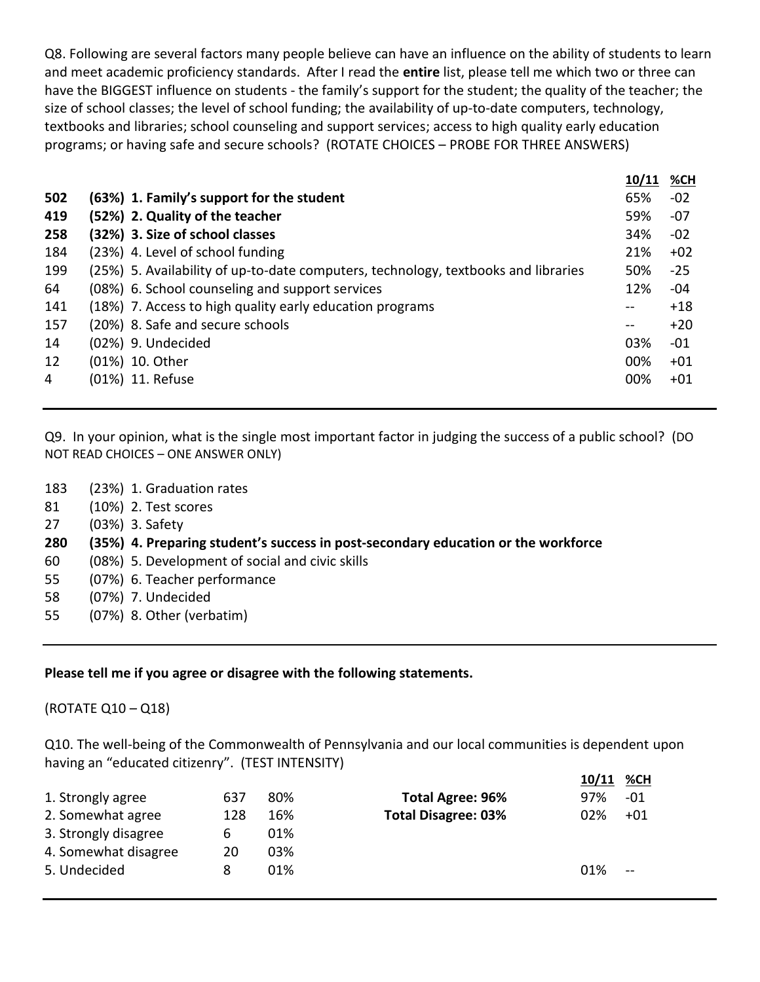Q8. Following are several factors many people believe can have an influence on the ability of students to learn and meet academic proficiency standards. After I read the **entire** list, please tell me which two or three can have the BIGGEST influence on students - the family's support for the student; the quality of the teacher; the size of school classes; the level of school funding; the availability of up-to-date computers, technology, textbooks and libraries; school counseling and support services; access to high quality early education programs; or having safe and secure schools? (ROTATE CHOICES – PROBE FOR THREE ANSWERS)

|     |                                                                                    | 10/11 | <u>%CH</u> |
|-----|------------------------------------------------------------------------------------|-------|------------|
| 502 | (63%) 1. Family's support for the student                                          | 65%   | $-02$      |
| 419 | (52%) 2. Quality of the teacher                                                    | 59%   | -07        |
| 258 | (32%) 3. Size of school classes                                                    | 34%   | $-02$      |
| 184 | (23%) 4. Level of school funding                                                   | 21%   | $+02$      |
| 199 | (25%) 5. Availability of up-to-date computers, technology, textbooks and libraries | 50%   | $-25$      |
| 64  | (08%) 6. School counseling and support services                                    | 12%   | -04        |
| 141 | (18%) 7. Access to high quality early education programs                           | $- -$ | $+18$      |
| 157 | (20%) 8. Safe and secure schools                                                   | --    | $+20$      |
| 14  | (02%) 9. Undecided                                                                 | 03%   | $-01$      |
| 12  | (01%) 10. Other                                                                    | 00%   | $+01$      |
| 4   | (01%) 11. Refuse                                                                   | 00%   | $+01$      |
|     |                                                                                    |       |            |

Q9. In your opinion, what is the single most important factor in judging the success of a public school? (DO NOT READ CHOICES – ONE ANSWER ONLY)

- 183 (23%) 1. Graduation rates
- 81 (10%) 2. Test scores
- 27 (03%) 3. Safety

#### **280 (35%) 4. Preparing student's success in post-secondary education or the workforce**

- 60 (08%) 5. Development of social and civic skills
- 55 (07%) 6. Teacher performance
- 58 (07%) 7. Undecided
- 55 (07%) 8. Other (verbatim)

#### **Please tell me if you agree or disagree with the following statements.**

(ROTATE Q10 – Q18)

Q10. The well-being of the Commonwealth of Pennsylvania and our local communities is dependent upon having an "educated citizenry". (TEST INTENSITY)

|                      |     |     |                            | 10/11 | <u>%CH</u> |
|----------------------|-----|-----|----------------------------|-------|------------|
| 1. Strongly agree    | 637 | 80% | <b>Total Agree: 96%</b>    | 97%   | -01        |
| 2. Somewhat agree    | 128 | 16% | <b>Total Disagree: 03%</b> | 02%   | $+01$      |
| 3. Strongly disagree | 6   | 01% |                            |       |            |
| 4. Somewhat disagree | 20  | 03% |                            |       |            |
| 5. Undecided         | 8   | 01% |                            | 01%   | $-$        |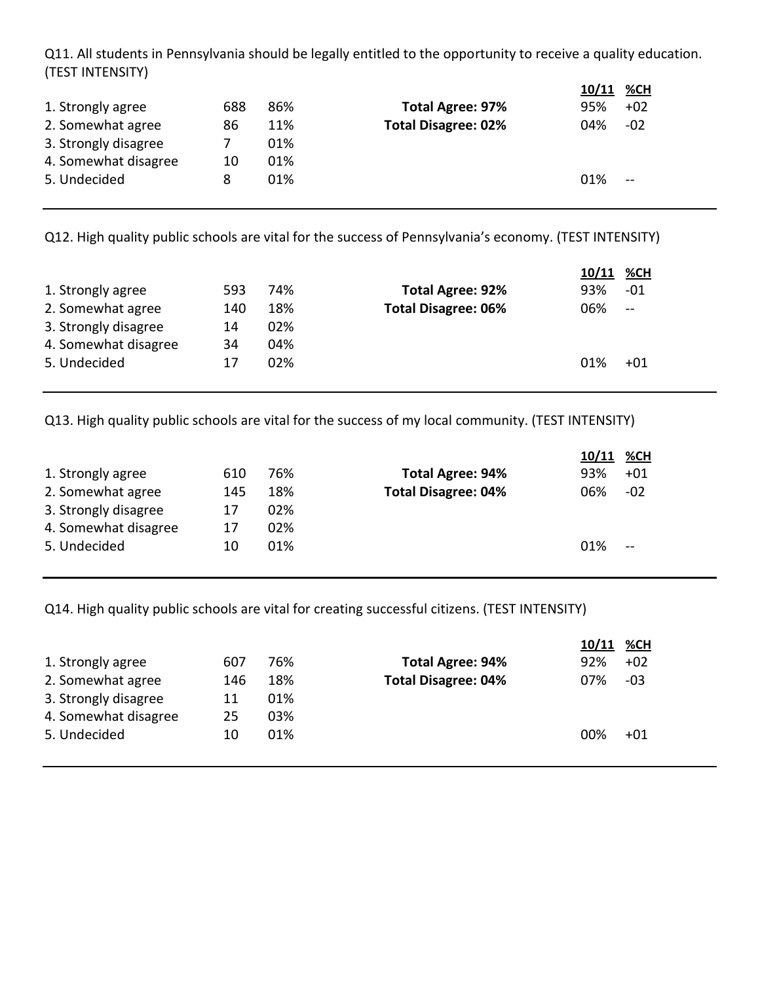Q11. All students in Pennsylvania should be legally entitled to the opportunity to receive a quality education. (TEST INTENSITY)

|                      |     |     |                            | 10/11 %CH |               |
|----------------------|-----|-----|----------------------------|-----------|---------------|
| 1. Strongly agree    | 688 | 86% | <b>Total Agree: 97%</b>    | 95%       | $+02$         |
| 2. Somewhat agree    | 86  | 11% | <b>Total Disagree: 02%</b> | 04%       | $-02$         |
| 3. Strongly disagree |     | 01% |                            |           |               |
| 4. Somewhat disagree | 10  | 01% |                            |           |               |
| 5. Undecided         | 8   | 01% |                            | 01%       | $\sim$ $\sim$ |

Q12. High quality public schools are vital for the success of Pennsylvania's economy. (TEST INTENSITY)

|                      |     |     |                            | 10/11 | <b>%CH</b>    |
|----------------------|-----|-----|----------------------------|-------|---------------|
| 1. Strongly agree    | 593 | 74% | <b>Total Agree: 92%</b>    | 93%   | -01           |
| 2. Somewhat agree    | 140 | 18% | <b>Total Disagree: 06%</b> | 06%   | $\frac{1}{2}$ |
| 3. Strongly disagree | 14  | 02% |                            |       |               |
| 4. Somewhat disagree | 34  | 04% |                            |       |               |
| 5. Undecided         | 17  | 02% |                            | 01%   | $+01$         |

Q13. High quality public schools are vital for the success of my local community. (TEST INTENSITY)

|                      |     |     |                            | 10/11 | <u>%CH</u>    |
|----------------------|-----|-----|----------------------------|-------|---------------|
| 1. Strongly agree    | 610 | 76% | <b>Total Agree: 94%</b>    | 93%   | $+01$         |
| 2. Somewhat agree    | 145 | 18% | <b>Total Disagree: 04%</b> | 06%   | $-02$         |
| 3. Strongly disagree | 17  | 02% |                            |       |               |
| 4. Somewhat disagree | 17  | 02% |                            |       |               |
| 5. Undecided         | 10  | 01% |                            | 01%   | $\sim$ $\sim$ |

Q14. High quality public schools are vital for creating successful citizens. (TEST INTENSITY)

|                      |     |     |                            | 10/11 | <u>%CH</u> |
|----------------------|-----|-----|----------------------------|-------|------------|
| 1. Strongly agree    | 607 | 76% | <b>Total Agree: 94%</b>    | 92%   | $+02$      |
| 2. Somewhat agree    | 146 | 18% | <b>Total Disagree: 04%</b> | 07%   | $-03$      |
| 3. Strongly disagree | 11  | 01% |                            |       |            |
| 4. Somewhat disagree | 25  | 03% |                            |       |            |
| 5. Undecided         | 10  | 01% |                            | 00%   | $+01$      |
|                      |     |     |                            |       |            |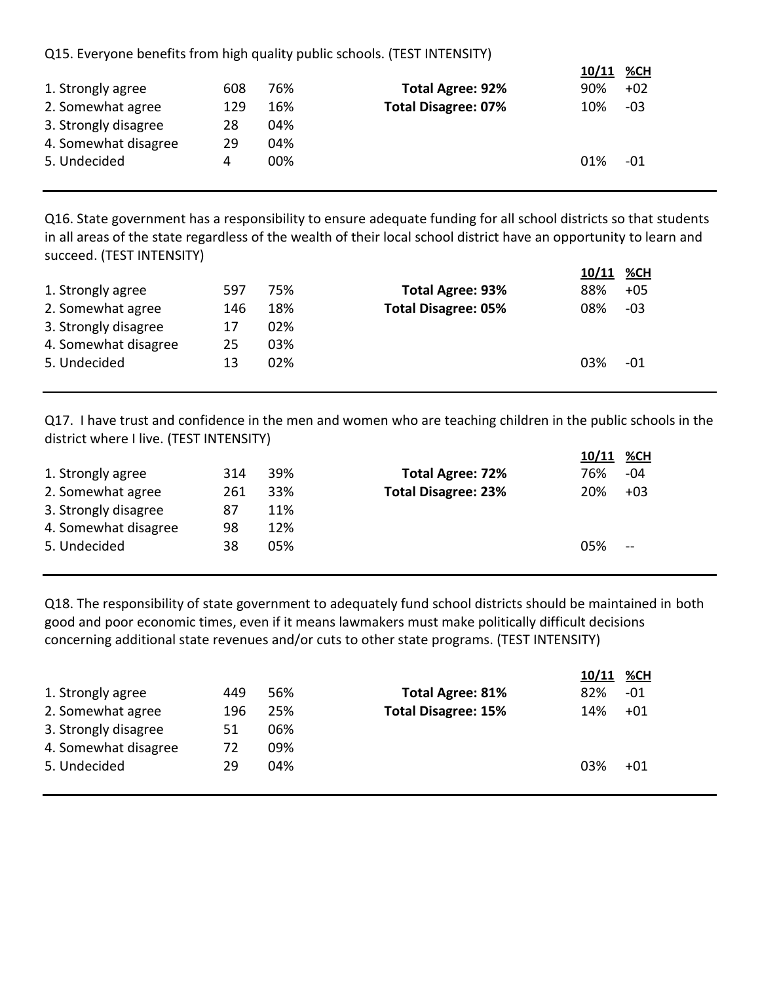Q15. Everyone benefits from high quality public schools. (TEST INTENSITY)

|                      |     |     |                            | 10/11 | %CH   |  |
|----------------------|-----|-----|----------------------------|-------|-------|--|
| 1. Strongly agree    | 608 | 76% | <b>Total Agree: 92%</b>    | 90%   | $+02$ |  |
| 2. Somewhat agree    | 129 | 16% | <b>Total Disagree: 07%</b> | 10%   | $-03$ |  |
| 3. Strongly disagree | 28  | 04% |                            |       |       |  |
| 4. Somewhat disagree | 29  | 04% |                            |       |       |  |
| 5. Undecided         | 4   | 00% |                            | 01%   | -01   |  |
|                      |     |     |                            |       |       |  |

**10/11 %CH**

Q16. State government has a responsibility to ensure adequate funding for all school districts so that students in all areas of the state regardless of the wealth of their local school district have an opportunity to learn and succeed. (TEST INTENSITY)

|                      |     |     |                            | 10/11 | <u>%CH</u> |
|----------------------|-----|-----|----------------------------|-------|------------|
| 1. Strongly agree    | 597 | 75% | <b>Total Agree: 93%</b>    | 88%   | $+05$      |
| 2. Somewhat agree    | 146 | 18% | <b>Total Disagree: 05%</b> | 08%   | -03        |
| 3. Strongly disagree | 17  | 02% |                            |       |            |
| 4. Somewhat disagree | 25  | 03% |                            |       |            |
| 5. Undecided         | 13  | 02% |                            | 03%   | -01        |

Q17. I have trust and confidence in the men and women who are teaching children in the public schools in the district where I live. (TEST INTENSITY)

|                      |     |     |                            | 10/11 | %CH   |
|----------------------|-----|-----|----------------------------|-------|-------|
| 1. Strongly agree    | 314 | 39% | <b>Total Agree: 72%</b>    | 76%   | -04   |
| 2. Somewhat agree    | 261 | 33% | <b>Total Disagree: 23%</b> | 20%   | $+03$ |
| 3. Strongly disagree | 87  | 11% |                            |       |       |
| 4. Somewhat disagree | 98  | 12% |                            |       |       |
| 5. Undecided         | 38  | 05% |                            | 05%   | $-$   |
|                      |     |     |                            |       |       |

Q18. The responsibility of state government to adequately fund school districts should be maintained in both good and poor economic times, even if it means lawmakers must make politically difficult decisions concerning additional state revenues and/or cuts to other state programs. (TEST INTENSITY)

|                      |     |     |                            | 10/11 %CH |       |
|----------------------|-----|-----|----------------------------|-----------|-------|
| 1. Strongly agree    | 449 | 56% | <b>Total Agree: 81%</b>    | 82%       | -01   |
| 2. Somewhat agree    | 196 | 25% | <b>Total Disagree: 15%</b> | 14%       | $+01$ |
| 3. Strongly disagree | 51  | 06% |                            |           |       |
| 4. Somewhat disagree | 72  | 09% |                            |           |       |
| 5. Undecided         | 29  | 04% |                            | 03%       | $+01$ |
|                      |     |     |                            |           |       |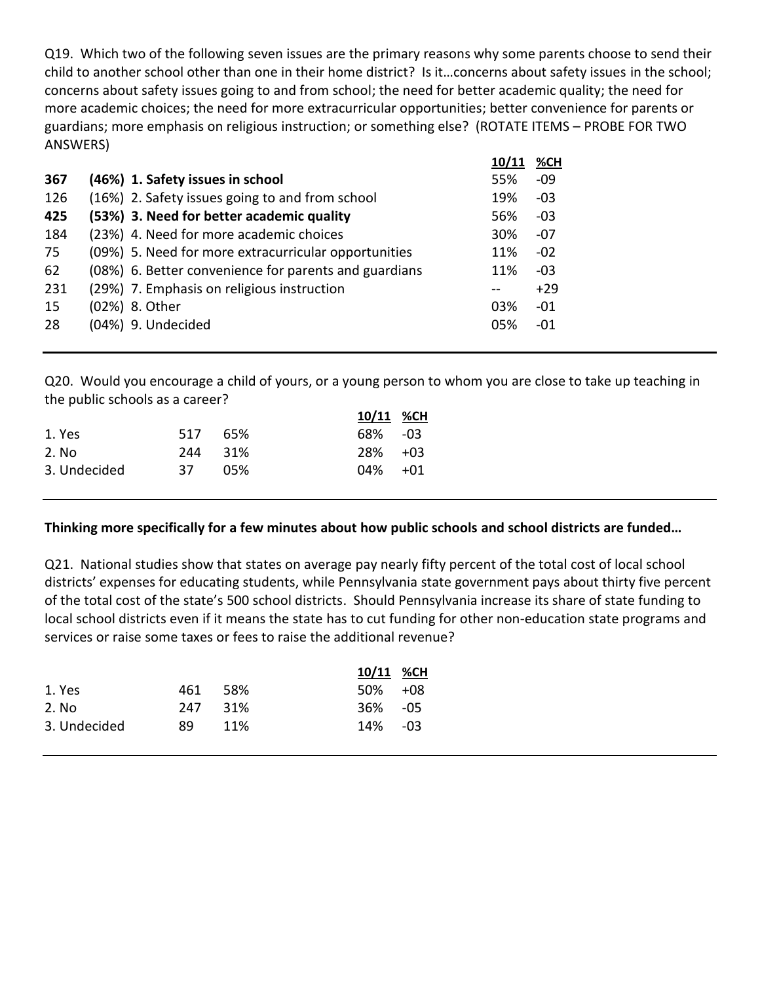Q19. Which two of the following seven issues are the primary reasons why some parents choose to send their child to another school other than one in their home district? Is it…concerns about safety issues in the school; concerns about safety issues going to and from school; the need for better academic quality; the need for more academic choices; the need for more extracurricular opportunities; better convenience for parents or guardians; more emphasis on religious instruction; or something else? (ROTATE ITEMS – PROBE FOR TWO ANSWERS)

|     |                                                       | 10/11 | %CH   |
|-----|-------------------------------------------------------|-------|-------|
| 367 | (46%) 1. Safety issues in school                      | 55%   | $-09$ |
| 126 | (16%) 2. Safety issues going to and from school       | 19%   | $-03$ |
| 425 | (53%) 3. Need for better academic quality             | 56%   | $-03$ |
| 184 | (23%) 4. Need for more academic choices               | 30%   | -07   |
| 75  | (09%) 5. Need for more extracurricular opportunities  | 11%   | $-02$ |
| 62  | (08%) 6. Better convenience for parents and guardians | 11%   | $-03$ |
| 231 | (29%) 7. Emphasis on religious instruction            |       | $+29$ |
| 15  | (02%) 8. Other                                        | 03%   | $-01$ |
| 28  | (04%) 9. Undecided                                    | 05%   | -01   |
|     |                                                       |       |       |

Q20. Would you encourage a child of yours, or a young person to whom you are close to take up teaching in the public schools as a career?

|              |         |     | 10/11 %CH   |  |
|--------------|---------|-----|-------------|--|
| 1. Yes       | 517 65% |     | 68% - 03    |  |
| 2. No        | 244 31% |     | $28\% + 03$ |  |
| 3. Undecided | -37     | 05% | $04\% + 01$ |  |

#### **Thinking more specifically for a few minutes about how public schools and school districts are funded…**

Q21. National studies show that states on average pay nearly fifty percent of the total cost of local school districts' expenses for educating students, while Pennsylvania state government pays about thirty five percent of the total cost of the state's 500 school districts. Should Pennsylvania increase its share of state funding to local school districts even if it means the state has to cut funding for other non-education state programs and services or raise some taxes or fees to raise the additional revenue?

|              |     |      | 10/11 %CH   |  |
|--------------|-----|------|-------------|--|
| 1. Yes       | 461 | -58% | $50\% + 08$ |  |
| 2. No        | 247 | -31% | 36% - 05    |  |
| 3. Undecided | 89. | 11%  | 14% - 03    |  |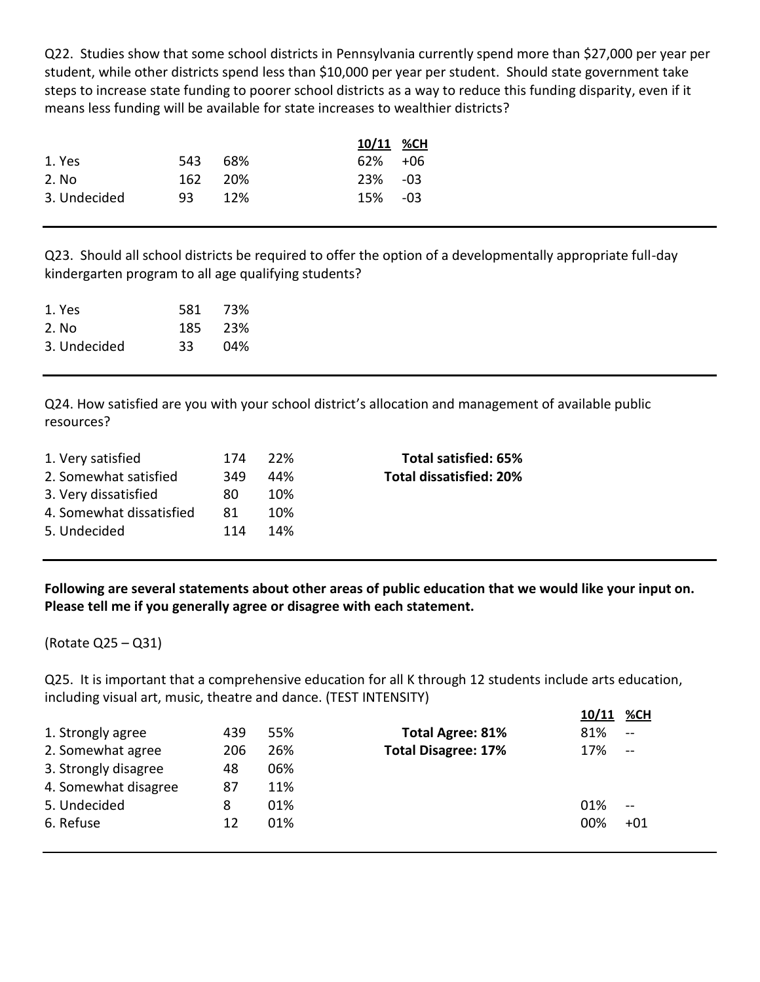Q22. Studies show that some school districts in Pennsylvania currently spend more than \$27,000 per year per student, while other districts spend less than \$10,000 per year per student. Should state government take steps to increase state funding to poorer school districts as a way to reduce this funding disparity, even if it means less funding will be available for state increases to wealthier districts?

|              |         |     | 10/11 %CH   |  |
|--------------|---------|-----|-------------|--|
| 1. Yes       | 543     | 68% | $62\% + 06$ |  |
| 2. No        | 162 20% |     | $23\% -03$  |  |
| 3. Undecided | 93.     | 12% | 15% - 03    |  |

Q23. Should all school districts be required to offer the option of a developmentally appropriate full-day kindergarten program to all age qualifying students?

| 1. Yes       | 581  | - 73% |
|--------------|------|-------|
| 2. No        | 185. | - 23% |
| 3. Undecided | 33   | 04%   |

Q24. How satisfied are you with your school district's allocation and management of available public resources?

| 1. Very satisfied        | 174 | -22% | Total satisfied: 65%           |
|--------------------------|-----|------|--------------------------------|
| 2. Somewhat satisfied    | 349 | 44%  | <b>Total dissatisfied: 20%</b> |
| 3. Very dissatisfied     | 80. | 10%  |                                |
| 4. Somewhat dissatisfied | 81  | 10%  |                                |
| 5. Undecided             | 114 | 14%  |                                |
|                          |     |      |                                |

**Following are several statements about other areas of public education that we would like your input on. Please tell me if you generally agree or disagree with each statement.**

(Rotate Q25 – Q31)

Q25. It is important that a comprehensive education for all K through 12 students include arts education, including visual art, music, theatre and dance. (TEST INTENSITY)

**10/11 %CH**

|                      |     |     |                            | $10/11$ /0 CH |               |
|----------------------|-----|-----|----------------------------|---------------|---------------|
| 1. Strongly agree    | 439 | 55% | <b>Total Agree: 81%</b>    | 81%           | $\sim$ $\sim$ |
| 2. Somewhat agree    | 206 | 26% | <b>Total Disagree: 17%</b> | 17%           |               |
| 3. Strongly disagree | 48  | 06% |                            |               |               |
| 4. Somewhat disagree | 87  | 11% |                            |               |               |
| 5. Undecided         | 8   | 01% |                            | 01%           |               |
| 6. Refuse            | 12  | 01% |                            | 00%           | $+01$         |
|                      |     |     |                            |               |               |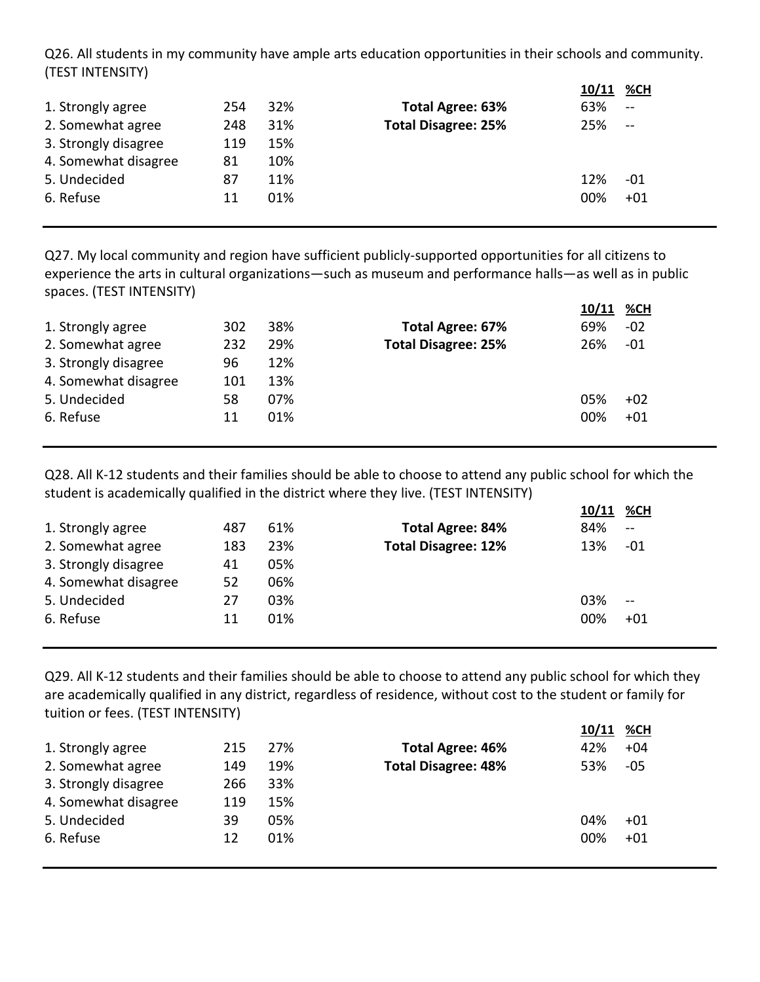Q26. All students in my community have ample arts education opportunities in their schools and community. (TEST INTENSITY)

|                      |     |     |                            | 10/11 | %CH   |
|----------------------|-----|-----|----------------------------|-------|-------|
| 1. Strongly agree    | 254 | 32% | <b>Total Agree: 63%</b>    | 63%   | $-$   |
| 2. Somewhat agree    | 248 | 31% | <b>Total Disagree: 25%</b> | 25%   | $-$   |
| 3. Strongly disagree | 119 | 15% |                            |       |       |
| 4. Somewhat disagree | 81  | 10% |                            |       |       |
| 5. Undecided         | 87  | 11% |                            | 12%   | -01   |
| 6. Refuse            | 11  | 01% |                            | 00%   | $+01$ |
|                      |     |     |                            |       |       |

Q27. My local community and region have sufficient publicly-supported opportunities for all citizens to experience the arts in cultural organizations—such as museum and performance halls—as well as in public spaces. (TEST INTENSITY)

|                      |     |     |                            | 10/11 %CH |       |
|----------------------|-----|-----|----------------------------|-----------|-------|
| 1. Strongly agree    | 302 | 38% | <b>Total Agree: 67%</b>    | 69%       | -02   |
| 2. Somewhat agree    | 232 | 29% | <b>Total Disagree: 25%</b> | 26%       | -01   |
| 3. Strongly disagree | 96  | 12% |                            |           |       |
| 4. Somewhat disagree | 101 | 13% |                            |           |       |
| 5. Undecided         | 58  | 07% |                            | 05%       | $+02$ |
| 6. Refuse            | 11  | 01% |                            | 00%       | $+01$ |
|                      |     |     |                            |           |       |

Q28. All K-12 students and their families should be able to choose to attend any public school for which the student is academically qualified in the district where they live. (TEST INTENSITY)

|                      |     |     |                            | 10/11 | <u>%CH</u>    |
|----------------------|-----|-----|----------------------------|-------|---------------|
| 1. Strongly agree    | 487 | 61% | <b>Total Agree: 84%</b>    | 84%   | $\sim$        |
| 2. Somewhat agree    | 183 | 23% | <b>Total Disagree: 12%</b> | 13%   | -01           |
| 3. Strongly disagree | 41  | 05% |                            |       |               |
| 4. Somewhat disagree | 52  | 06% |                            |       |               |
| 5. Undecided         | 27  | 03% |                            | 03%   | $\sim$ $\sim$ |
| 6. Refuse            | 11  | 01% |                            | 00%   | $+01$         |
|                      |     |     |                            |       |               |

Q29. All K-12 students and their families should be able to choose to attend any public school for which they are academically qualified in any district, regardless of residence, without cost to the student or family for tuition or fees. (TEST INTENSITY)

|                      |     |     |                            | 10/11 | %CH   |
|----------------------|-----|-----|----------------------------|-------|-------|
| 1. Strongly agree    | 215 | 27% | <b>Total Agree: 46%</b>    | 42%   | $+04$ |
| 2. Somewhat agree    | 149 | 19% | <b>Total Disagree: 48%</b> | 53%   | $-05$ |
| 3. Strongly disagree | 266 | 33% |                            |       |       |
| 4. Somewhat disagree | 119 | 15% |                            |       |       |
| 5. Undecided         | 39  | 05% |                            | 04%   | $+01$ |
| 6. Refuse            | 12  | 01% |                            | 00%   | $+01$ |
|                      |     |     |                            |       |       |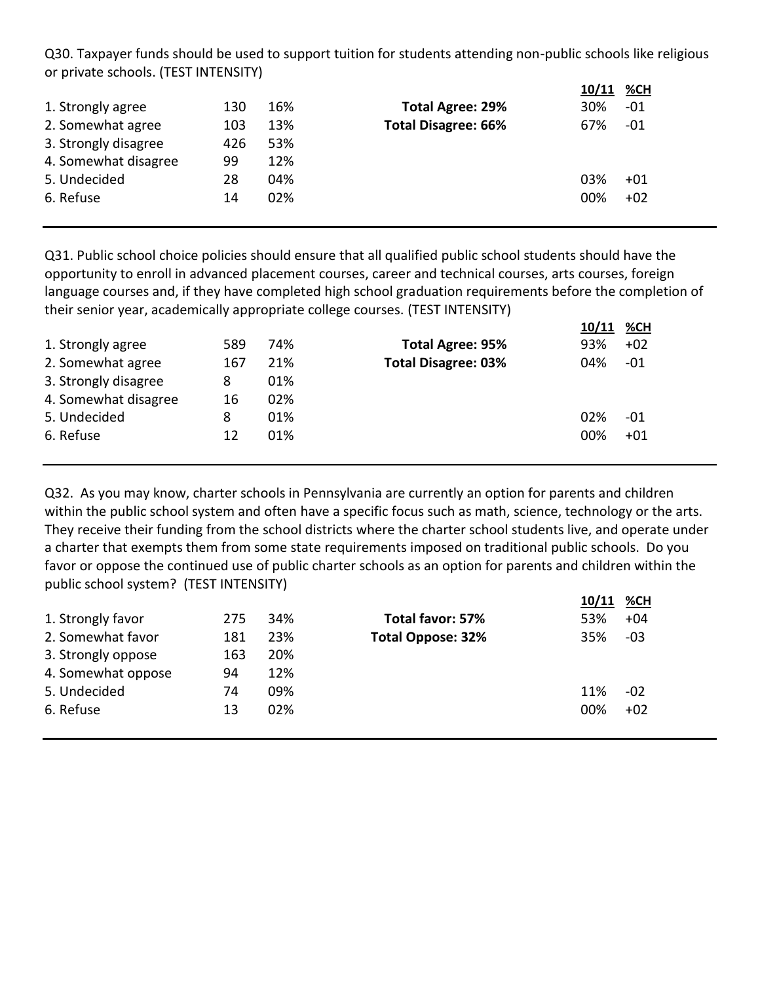Q30. Taxpayer funds should be used to support tuition for students attending non-public schools like religious or private schools. (TEST INTENSITY)

|                      |     |     |                            | 10/11 | %CH   |
|----------------------|-----|-----|----------------------------|-------|-------|
| 1. Strongly agree    | 130 | 16% | <b>Total Agree: 29%</b>    | 30%   | -01   |
| 2. Somewhat agree    | 103 | 13% | <b>Total Disagree: 66%</b> | 67%   | $-01$ |
| 3. Strongly disagree | 426 | 53% |                            |       |       |
| 4. Somewhat disagree | 99  | 12% |                            |       |       |
| 5. Undecided         | 28  | 04% |                            | 03%   | $+01$ |
| 6. Refuse            | 14  | 02% |                            | 00%   | $+02$ |

Q31. Public school choice policies should ensure that all qualified public school students should have the opportunity to enroll in advanced placement courses, career and technical courses, arts courses, foreign language courses and, if they have completed high school graduation requirements before the completion of their senior year, academically appropriate college courses. (TEST INTENSITY)

|                      |     |     |                            | 10/11 %CH |       |
|----------------------|-----|-----|----------------------------|-----------|-------|
| 1. Strongly agree    | 589 | 74% | <b>Total Agree: 95%</b>    | 93%       | $+02$ |
| 2. Somewhat agree    | 167 | 21% | <b>Total Disagree: 03%</b> | 04%       | -01   |
| 3. Strongly disagree | 8   | 01% |                            |           |       |
| 4. Somewhat disagree | 16  | 02% |                            |           |       |
| 5. Undecided         | 8   | 01% |                            | 02%       | -01   |
| 6. Refuse            | 12  | 01% |                            | 00%       | $+01$ |
|                      |     |     |                            |           |       |

Q32. As you may know, charter schools in Pennsylvania are currently an option for parents and children within the public school system and often have a specific focus such as math, science, technology or the arts. They receive their funding from the school districts where the charter school students live, and operate under a charter that exempts them from some state requirements imposed on traditional public schools. Do you favor or oppose the continued use of public charter schools as an option for parents and children within the public school system? (TEST INTENSITY)

|                    |     |     |                          | 10/11 %CH |       |
|--------------------|-----|-----|--------------------------|-----------|-------|
| 1. Strongly favor  | 275 | 34% | Total favor: 57%         | 53%       | $+04$ |
| 2. Somewhat favor  | 181 | 23% | <b>Total Oppose: 32%</b> | 35%       | $-03$ |
| 3. Strongly oppose | 163 | 20% |                          |           |       |
| 4. Somewhat oppose | 94  | 12% |                          |           |       |
| 5. Undecided       | 74  | 09% |                          | 11%       | $-02$ |
| 6. Refuse          | 13  | 02% |                          | 00%       | $+02$ |
|                    |     |     |                          |           |       |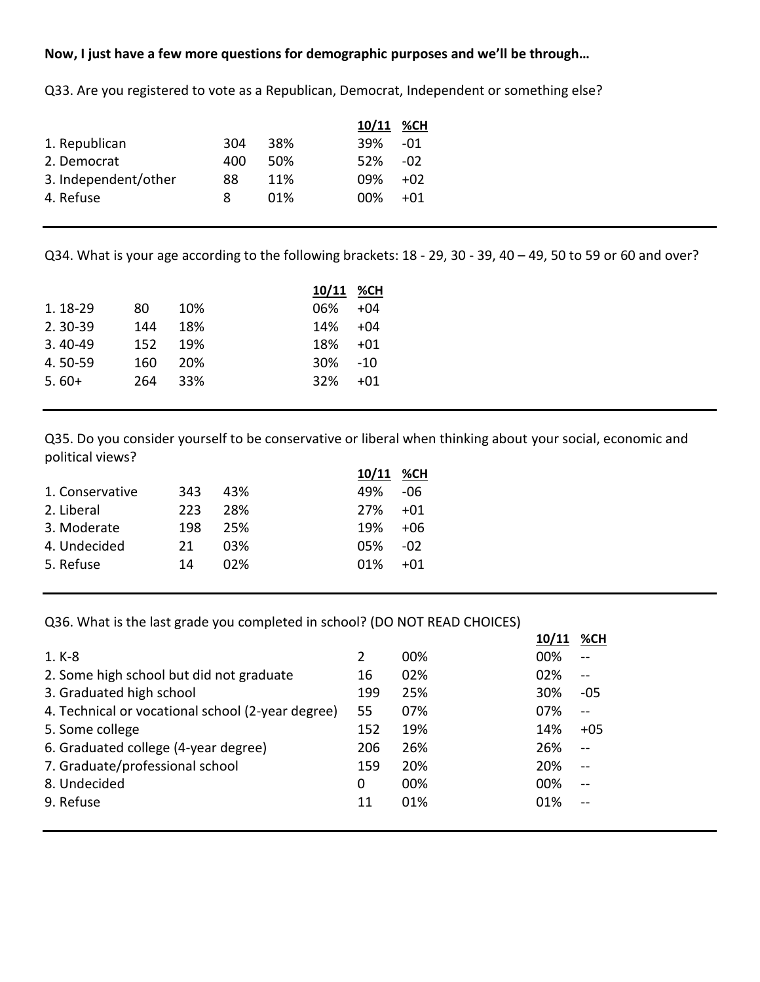## **Now, I just have a few more questions for demographic purposes and we'll be through…**

|                      |     |      | 10/11 %CH     |
|----------------------|-----|------|---------------|
| 1. Republican        | 304 | 38%  | 39%<br>-01    |
| 2. Democrat          | 400 | .50% | .52%<br>$-02$ |
| 3. Independent/other | 88  | 11%  | 09%<br>$+02$  |
| 4. Refuse            | 8   | 01%  | በበ%<br>+01    |
|                      |     |      |               |

Q33. Are you registered to vote as a Republican, Democrat, Independent or something else?

Q34. What is your age according to the following brackets: 18 - 29, 30 - 39, 40 – 49, 50 to 59 or 60 and over?

|             |     |     | 10/11 %CH |       |
|-------------|-----|-----|-----------|-------|
| 1.18-29     | 80  | 10% | 06%       | $+04$ |
| $2.30 - 39$ | 144 | 18% | 14%       | $+04$ |
| $3.40 - 49$ | 152 | 19% | 18%       | $+01$ |
| 4.50-59     | 160 | 20% | 30%       | $-10$ |
| $5.60+$     | 264 | 33% | 32%       | +01   |
|             |     |     |           |       |

Q35. Do you consider yourself to be conservative or liberal when thinking about your social, economic and political views?

|                 |     |     | 10/11 | %CH   |
|-----------------|-----|-----|-------|-------|
| 1. Conservative | 343 | 43% | 49%   | -06   |
| 2. Liberal      | 223 | 28% | 27%   | $+01$ |
| 3. Moderate     | 198 | 25% | 19%   | $+06$ |
| 4. Undecided    | 21  | በ3% | 05%   | -02   |
| 5. Refuse       | 14  | በ2% | 01%   | $+01$ |

Q36. What is the last grade you completed in school? (DO NOT READ CHOICES)

|                                                   |     |     | 10/11 | %CH            |
|---------------------------------------------------|-----|-----|-------|----------------|
| $1. K-8$                                          | 2   | 00% | 00%   | $-$            |
| 2. Some high school but did not graduate          | 16  | 02% | 02%   | $\overline{a}$ |
| 3. Graduated high school                          | 199 | 25% | 30%   | -05            |
| 4. Technical or vocational school (2-year degree) | 55  | 07% | 07%   | $-$            |
| 5. Some college                                   | 152 | 19% | 14%   | $+05$          |
| 6. Graduated college (4-year degree)              | 206 | 26% | 26%   | $-$            |
| 7. Graduate/professional school                   | 159 | 20% | 20%   | $\overline{a}$ |
| 8. Undecided                                      | 0   | 00% | 00%   | $\overline{a}$ |
| 9. Refuse                                         | 11  | 01% | 01%   | $-$            |
|                                                   |     |     |       |                |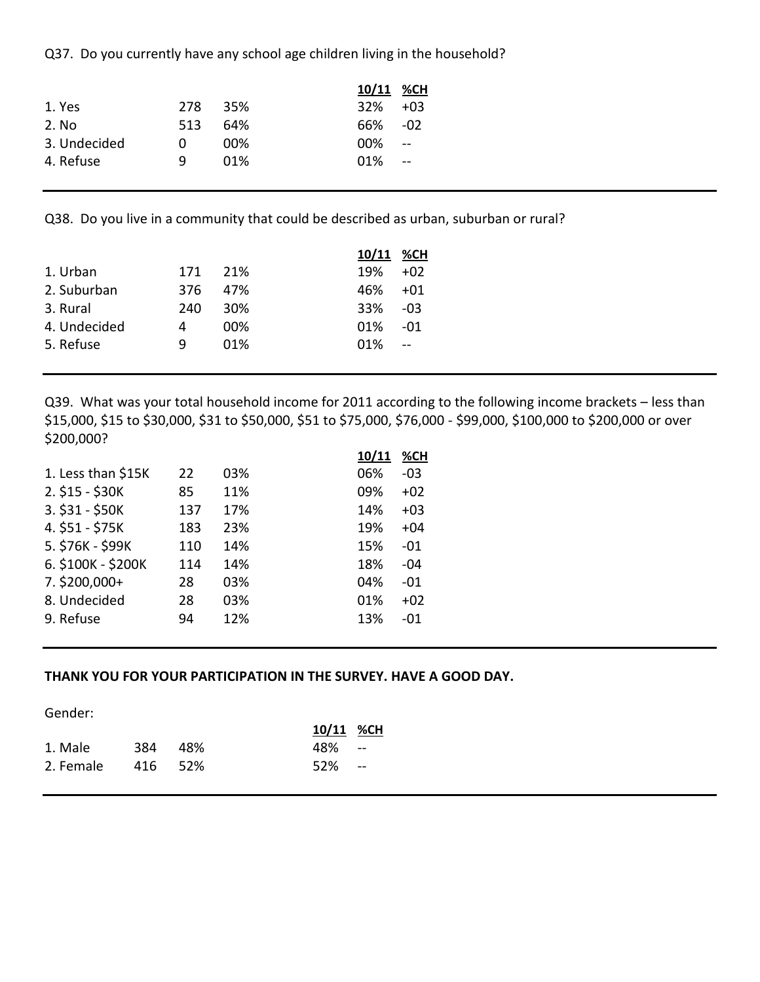Q37. Do you currently have any school age children living in the household?

|     |     | 10/11 %CH |            |
|-----|-----|-----------|------------|
| 278 |     | 32%       | $+0.3$     |
| 513 | 64% | 66%       | -02        |
| 0   | 00% | $00\%$    | $\sim$ $-$ |
| q   | 01% | $01\%$    | $\sim$     |
|     |     | 35%       |            |

Q38. Do you live in a community that could be described as urban, suburban or rural?

|              |     |     | 10/11 %CH |       |
|--------------|-----|-----|-----------|-------|
| 1. Urban     | 171 | 21% | 19%       | $+02$ |
| 2. Suburban  | 376 | 47% | 46%       | $+01$ |
| 3. Rural     | 240 | 30% | 33%       | -03   |
| 4. Undecided | 4   | 00% | 01%       | -01   |
| 5. Refuse    |     | 01% | 01%       |       |

Q39. What was your total household income for 2011 according to the following income brackets – less than \$15,000, \$15 to \$30,000, \$31 to \$50,000, \$51 to \$75,000, \$76,000 - \$99,000, \$100,000 to \$200,000 or over \$200,000?

|                    |     |     | <u>10/11</u> | %CH   |
|--------------------|-----|-----|--------------|-------|
| 1. Less than \$15K | 22  | 03% | 06%          | $-03$ |
| 2. \$15 - \$30K    | 85  | 11% | 09%          | $+02$ |
| 3. \$31 - \$50K    | 137 | 17% | 14%          | $+03$ |
| 4. \$51 - \$75K    | 183 | 23% | 19%          | $+04$ |
| 5. \$76K - \$99K   | 110 | 14% | 15%          | $-01$ |
| 6. \$100K - \$200K | 114 | 14% | 18%          | -04   |
| $7.$ \$200,000+    | 28  | 03% | 04%          | -01   |
| 8. Undecided       | 28  | 03% | 01%          | $+02$ |
| 9. Refuse          | 94  | 12% | 13%          | -01   |
|                    |     |     |              |       |

#### **THANK YOU FOR YOUR PARTICIPATION IN THE SURVEY. HAVE A GOOD DAY.**

Gender:

|           |         |       | 10/11 %CH |  |
|-----------|---------|-------|-----------|--|
| 1. Male   | 384     | - 48% | -- 48%    |  |
| 2. Female | 416 52% |       | 52% --    |  |
|           |         |       |           |  |